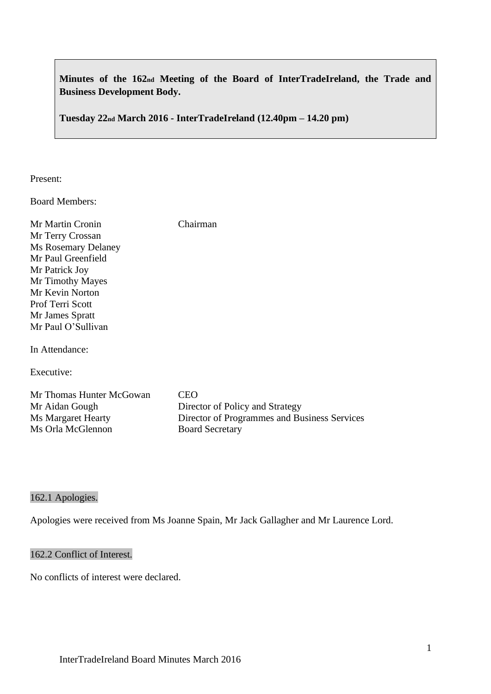**Minutes of the 162nd Meeting of the Board of InterTradeIreland, the Trade and Business Development Body.**

**Tuesday 22nd March 2016 - InterTradeIreland (12.40pm – 14.20 pm)**

Present:

Board Members:

Mr Martin Cronin Chairman Mr Terry Crossan Ms Rosemary Delaney Mr Paul Greenfield Mr Patrick Joy Mr Timothy Mayes Mr Kevin Norton Prof Terri Scott Mr James Spratt Mr Paul O'Sullivan

In Attendance:

Executive:

| Mr Thomas Hunter McGowan | CEO                                          |
|--------------------------|----------------------------------------------|
| Mr Aidan Gough           | Director of Policy and Strategy              |
| Ms Margaret Hearty       | Director of Programmes and Business Services |
| Ms Orla McGlennon        | <b>Board Secretary</b>                       |

### 162.1 Apologies.

Apologies were received from Ms Joanne Spain, Mr Jack Gallagher and Mr Laurence Lord.

### 162.2 Conflict of Interest.

No conflicts of interest were declared.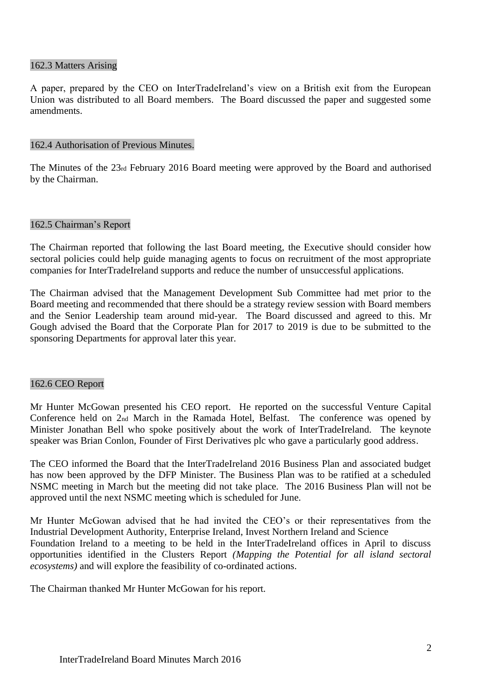#### 162.3 Matters Arising

A paper, prepared by the CEO on InterTradeIreland's view on a British exit from the European Union was distributed to all Board members. The Board discussed the paper and suggested some amendments.

#### 162.4 Authorisation of Previous Minutes.

The Minutes of the 23rd February 2016 Board meeting were approved by the Board and authorised by the Chairman.

#### 162.5 Chairman's Report

The Chairman reported that following the last Board meeting, the Executive should consider how sectoral policies could help guide managing agents to focus on recruitment of the most appropriate companies for InterTradeIreland supports and reduce the number of unsuccessful applications.

The Chairman advised that the Management Development Sub Committee had met prior to the Board meeting and recommended that there should be a strategy review session with Board members and the Senior Leadership team around mid-year. The Board discussed and agreed to this. Mr Gough advised the Board that the Corporate Plan for 2017 to 2019 is due to be submitted to the sponsoring Departments for approval later this year.

### 162.6 CEO Report

Mr Hunter McGowan presented his CEO report. He reported on the successful Venture Capital Conference held on 2nd March in the Ramada Hotel, Belfast. The conference was opened by Minister Jonathan Bell who spoke positively about the work of InterTradeIreland. The keynote speaker was Brian Conlon, Founder of First Derivatives plc who gave a particularly good address.

The CEO informed the Board that the InterTradeIreland 2016 Business Plan and associated budget has now been approved by the DFP Minister. The Business Plan was to be ratified at a scheduled NSMC meeting in March but the meeting did not take place. The 2016 Business Plan will not be approved until the next NSMC meeting which is scheduled for June.

Mr Hunter McGowan advised that he had invited the CEO's or their representatives from the Industrial Development Authority, Enterprise Ireland, Invest Northern Ireland and Science Foundation Ireland to a meeting to be held in the InterTradeIreland offices in April to discuss opportunities identified in the Clusters Report *(Mapping the Potential for all island sectoral ecosystems)* and will explore the feasibility of co-ordinated actions.

The Chairman thanked Mr Hunter McGowan for his report.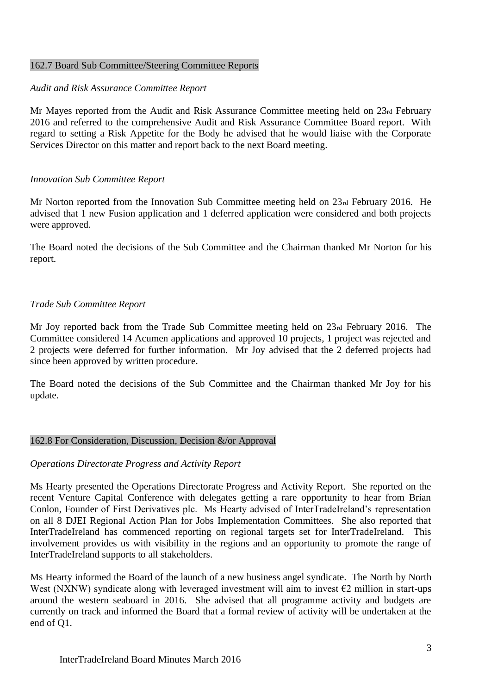#### 162.7 Board Sub Committee/Steering Committee Reports

### *Audit and Risk Assurance Committee Report*

Mr Mayes reported from the Audit and Risk Assurance Committee meeting held on 23rd February 2016 and referred to the comprehensive Audit and Risk Assurance Committee Board report. With regard to setting a Risk Appetite for the Body he advised that he would liaise with the Corporate Services Director on this matter and report back to the next Board meeting.

## *Innovation Sub Committee Report*

Mr Norton reported from the Innovation Sub Committee meeting held on 23rd February 2016. He advised that 1 new Fusion application and 1 deferred application were considered and both projects were approved.

The Board noted the decisions of the Sub Committee and the Chairman thanked Mr Norton for his report.

## *Trade Sub Committee Report*

Mr Joy reported back from the Trade Sub Committee meeting held on 23rd February 2016. The Committee considered 14 Acumen applications and approved 10 projects, 1 project was rejected and 2 projects were deferred for further information. Mr Joy advised that the 2 deferred projects had since been approved by written procedure.

The Board noted the decisions of the Sub Committee and the Chairman thanked Mr Joy for his update.

### 162.8 For Consideration, Discussion, Decision &/or Approval

### *Operations Directorate Progress and Activity Report*

Ms Hearty presented the Operations Directorate Progress and Activity Report. She reported on the recent Venture Capital Conference with delegates getting a rare opportunity to hear from Brian Conlon, Founder of First Derivatives plc. Ms Hearty advised of InterTradeIreland's representation on all 8 DJEI Regional Action Plan for Jobs Implementation Committees. She also reported that InterTradeIreland has commenced reporting on regional targets set for InterTradeIreland. This involvement provides us with visibility in the regions and an opportunity to promote the range of InterTradeIreland supports to all stakeholders.

Ms Hearty informed the Board of the launch of a new business angel syndicate. The North by North West (NXNW) syndicate along with leveraged investment will aim to invest  $\epsilon$ 2 million in start-ups around the western seaboard in 2016. She advised that all programme activity and budgets are currently on track and informed the Board that a formal review of activity will be undertaken at the end of Q1.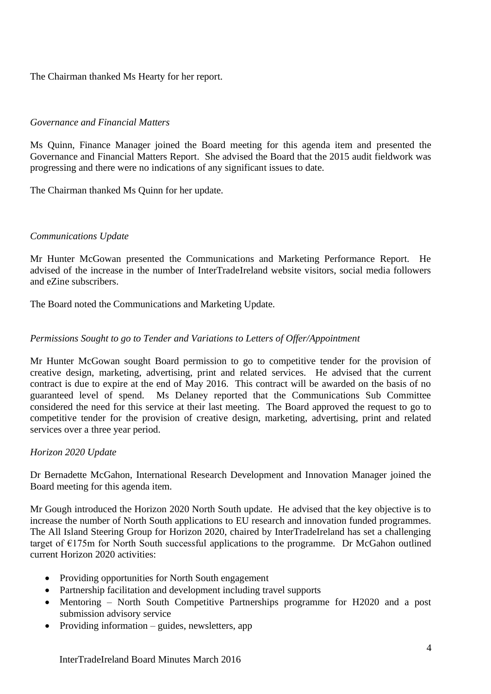The Chairman thanked Ms Hearty for her report.

# *Governance and Financial Matters*

Ms Quinn, Finance Manager joined the Board meeting for this agenda item and presented the Governance and Financial Matters Report. She advised the Board that the 2015 audit fieldwork was progressing and there were no indications of any significant issues to date.

The Chairman thanked Ms Quinn for her update.

## *Communications Update*

Mr Hunter McGowan presented the Communications and Marketing Performance Report. He advised of the increase in the number of InterTradeIreland website visitors, social media followers and eZine subscribers.

The Board noted the Communications and Marketing Update.

## *Permissions Sought to go to Tender and Variations to Letters of Offer/Appointment*

Mr Hunter McGowan sought Board permission to go to competitive tender for the provision of creative design, marketing, advertising, print and related services. He advised that the current contract is due to expire at the end of May 2016. This contract will be awarded on the basis of no guaranteed level of spend. Ms Delaney reported that the Communications Sub Committee considered the need for this service at their last meeting. The Board approved the request to go to competitive tender for the provision of creative design, marketing, advertising, print and related services over a three year period.

### *Horizon 2020 Update*

Dr Bernadette McGahon, International Research Development and Innovation Manager joined the Board meeting for this agenda item.

Mr Gough introduced the Horizon 2020 North South update. He advised that the key objective is to increase the number of North South applications to EU research and innovation funded programmes. The All Island Steering Group for Horizon 2020, chaired by InterTradeIreland has set a challenging target of  $E175m$  for North South successful applications to the programme. Dr McGahon outlined current Horizon 2020 activities:

- Providing opportunities for North South engagement
- Partnership facilitation and development including travel supports
- Mentoring North South Competitive Partnerships programme for H2020 and a post submission advisory service
- Providing information guides, newsletters, app